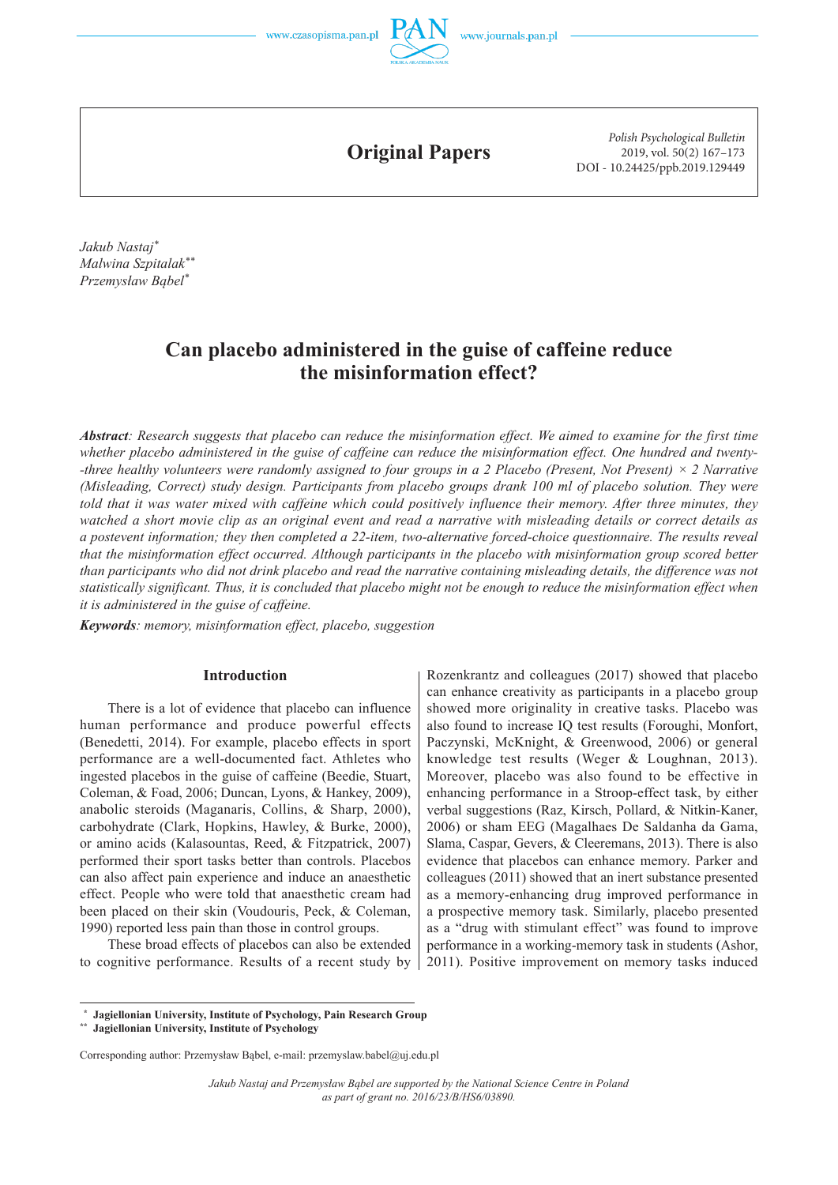

**Original Papers**

*Polish Psychological Bulletin* 2019, vol. 50(2) 167–173 DOI - 10.24425/ppb.2019.129449

*Jakub Nastaj\* Malwina Szpitalak\*\* Przemysław Bąbel\**

# **Can placebo administered in the guise of caffeine reduce the misinformation effect?**

*Abstract: Research suggests that placebo can reduce the misinformation effect. We aimed to examine for the first time whether placebo administered in the guise of caffeine can reduce the misinformation effect. One hundred and twenty- -three healthy volunteers were randomly assigned to four groups in a 2 Placebo (Present, Not Present) × 2 Narrative (Misleading, Correct) study design. Participants from placebo groups drank 100 ml of placebo solution. They were told that it was water mixed with caffeine which could positively influence their memory. After three minutes, they watched a short movie clip as an original event and read a narrative with misleading details or correct details as a postevent information; they then completed a 22 -item, two -alternative forced -choice questionnaire. The results reveal that the misinformation effect occurred. Although participants in the placebo with misinformation group scored better than participants who did not drink placebo and read the narrative containing misleading details, the difference was not statistically significant. Thus, it is concluded that placebo might not be enough to reduce the misinformation effect when it is administered in the guise of caffeine.* 

*Keywords: memory, misinformation effect, placebo, suggestion*

### **Introduction**

There is a lot of evidence that placebo can influence human performance and produce powerful effects (Benedetti, 2014). For example, placebo effects in sport performance are a well -documented fact. Athletes who ingested placebos in the guise of caffeine (Beedie, Stuart, Coleman, & Foad, 2006; Duncan, Lyons, & Hankey, 2009), anabolic steroids (Maganaris, Collins, & Sharp, 2000), carbohydrate (Clark, Hopkins, Hawley, & Burke, 2000), or amino acids (Kalasountas, Reed, & Fitzpatrick, 2007) performed their sport tasks better than controls. Placebos can also affect pain experience and induce an anaesthetic effect. People who were told that anaesthetic cream had been placed on their skin (Voudouris, Peck, & Coleman, 1990) reported less pain than those in control groups.

These broad effects of placebos can also be extended to cognitive performance. Results of a recent study by

Rozenkrantz and colleagues (2017) showed that placebo can enhance creativity as participants in a placebo group showed more originality in creative tasks. Placebo was also found to increase IQ test results (Foroughi, Monfort, Paczynski, McKnight, & Greenwood, 2006) or general knowledge test results (Weger & Loughnan, 2013). Moreover, placebo was also found to be effective in enhancing performance in a Stroop -effect task, by either verbal suggestions (Raz, Kirsch, Pollard, & Nitkin-Kaner, 2006) or sham EEG (Magalhaes De Saldanha da Gama, Slama, Caspar, Gevers, & Cleeremans, 2013). There is also evidence that placebos can enhance memory. Parker and colleagues (2011) showed that an inert substance presented as a memory -enhancing drug improved performance in a prospective memory task. Similarly, placebo presented as a "drug with stimulant effect" was found to improve performance in a working-memory task in students (Ashor, 2011). Positive improvement on memory tasks induced

 **Jagiellonian University, Institute of Psychology, Pain Research Group** 

**\*\* Jagiellonian University, Institute of Psychology**

Corresponding author: Przemysław Bąbel, e-mail: przemyslaw.babel@uj.edu.pl

*Jakub Nastaj and Przemysław Bąbel are supported by the National Science Centre in Poland as part of grant no. 2016/23/B/HS6/03890.*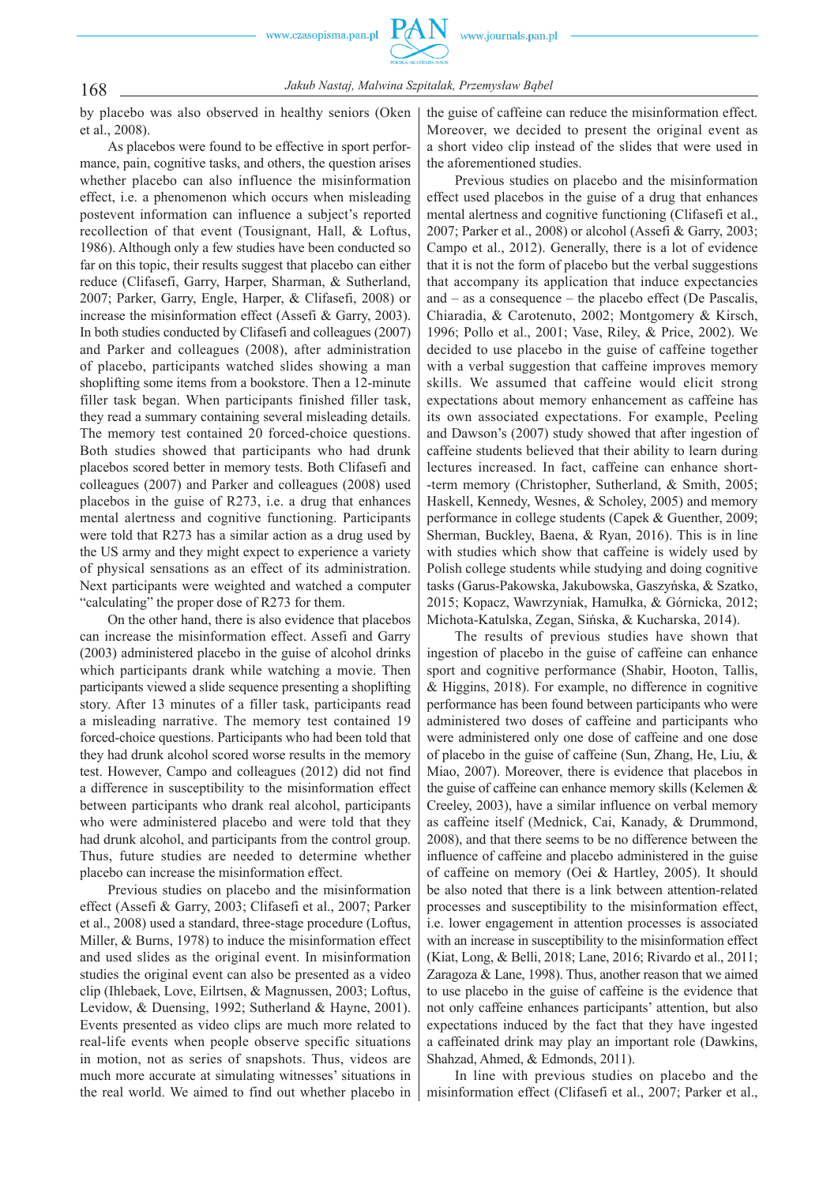

168 *Jakub Nastaj, Malwina Szpitalak, Przemysław Bąbel*

by placebo was also observed in healthy seniors (Oken et al., 2008).

As placebos were found to be effective in sport performance, pain, cognitive tasks, and others, the question arises whether placebo can also influence the misinformation effect, i.e. a phenomenon which occurs when misleading postevent information can influence a subject's reported recollection of that event (Tousignant, Hall, & Loftus, 1986). Although only a few studies have been conducted so far on this topic, their results suggest that placebo can either reduce (Clifasefi, Garry, Harper, Sharman, & Sutherland, 2007; Parker, Garry, Engle, Harper, & Clifasefi, 2008) or increase the misinformation effect (Assefi & Garry, 2003). In both studies conducted by Clifasefi and colleagues (2007) and Parker and colleagues (2008), after administration of placebo, participants watched slides showing a man shoplifting some items from a bookstore. Then a 12 -minute filler task began. When participants finished filler task, they read a summary containing several misleading details. The memory test contained 20 forced-choice questions. Both studies showed that participants who had drunk placebos scored better in memory tests. Both Clifasefi and colleagues (2007) and Parker and colleagues (2008) used placebos in the guise of R273, i.e. a drug that enhances mental alertness and cognitive functioning. Participants were told that R273 has a similar action as a drug used by the US army and they might expect to experience a variety of physical sensations as an effect of its administration. Next participants were weighted and watched a computer "calculating" the proper dose of R273 for them.

On the other hand, there is also evidence that placebos can increase the misinformation effect. Assefi and Garry (2003) administered placebo in the guise of alcohol drinks which participants drank while watching a movie. Then participants viewed a slide sequence presenting a shoplifting story. After 13 minutes of a filler task, participants read a misleading narrative. The memory test contained 19 forced -choice questions. Participants who had been told that they had drunk alcohol scored worse results in the memory test. However, Campo and colleagues (2012) did not find a difference in susceptibility to the misinformation effect between participants who drank real alcohol, participants who were administered placebo and were told that they had drunk alcohol, and participants from the control group. Thus, future studies are needed to determine whether placebo can increase the misinformation effect.

Previous studies on placebo and the misinformation effect (Assefi & Garry, 2003; Clifasefi et al., 2007; Parker et al., 2008) used a standard, three -stage procedure (Loftus, Miller, & Burns, 1978) to induce the misinformation effect and used slides as the original event. In misinformation studies the original event can also be presented as a video clip (Ihlebaek, Love, Eilrtsen, & Magnussen, 2003; Loftus, Levidow, & Duensing, 1992; Sutherland & Hayne, 2001). Events presented as video clips are much more related to real -life events when people observe specific situations in motion, not as series of snapshots. Thus, videos are much more accurate at simulating witnesses' situations in the real world. We aimed to find out whether placebo in the guise of caffeine can reduce the misinformation effect. Moreover, we decided to present the original event as a short video clip instead of the slides that were used in the aforementioned studies.

Previous studies on placebo and the misinformation effect used placebos in the guise of a drug that enhances mental alertness and cognitive functioning (Clifasefi et al., 2007; Parker et al., 2008) or alcohol (Assefi & Garry, 2003; Campo et al., 2012). Generally, there is a lot of evidence that it is not the form of placebo but the verbal suggestions that accompany its application that induce expectancies and – as a consequence – the placebo effect (De Pascalis, Chiaradia, & Carotenuto, 2002; Montgomery & Kirsch, 1996; Pollo et al., 2001; Vase, Riley, & Price, 2002). We decided to use placebo in the guise of caffeine together with a verbal suggestion that caffeine improves memory skills. We assumed that caffeine would elicit strong expectations about memory enhancement as caffeine has its own associated expectations. For example, Peeling and Dawson's (2007) study showed that after ingestion of caffeine students believed that their ability to learn during lectures increased. In fact, caffeine can enhance short- -term memory (Christopher, Sutherland, & Smith, 2005; Haskell, Kennedy, Wesnes, & Scholey, 2005) and memory performance in college students (Capek & Guenther, 2009; Sherman, Buckley, Baena, & Ryan, 2016). This is in line with studies which show that caffeine is widely used by Polish college students while studying and doing cognitive tasks (Garus -Pakowska, Jakubowska, Gaszyńska, & Szatko, 2015; Kopacz, Wawrzyniak, Hamułka, & Górnicka, 2012; Michota -Katulska, Zegan, Sińska, & Kucharska, 2014).

The results of previous studies have shown that ingestion of placebo in the guise of caffeine can enhance sport and cognitive performance (Shabir, Hooton, Tallis, & Higgins, 2018). For example, no difference in cognitive performance has been found between participants who were administered two doses of caffeine and participants who were administered only one dose of caffeine and one dose of placebo in the guise of caffeine (Sun, Zhang, He, Liu, & Miao, 2007). Moreover, there is evidence that placebos in the guise of caffeine can enhance memory skills (Kelemen & Creeley, 2003), have a similar influence on verbal memory as caffeine itself (Mednick, Cai, Kanady, & Drummond, 2008), and that there seems to be no difference between the influence of caffeine and placebo administered in the guise of caffeine on memory (Oei & Hartley, 2005). It should be also noted that there is a link between attention -related processes and susceptibility to the misinformation effect, i.e. lower engagement in attention processes is associated with an increase in susceptibility to the misinformation effect (Kiat, Long, & Belli, 2018; Lane, 2016; Rivardo et al., 2011; Zaragoza & Lane, 1998). Thus, another reason that we aimed to use placebo in the guise of caffeine is the evidence that not only caffeine enhances participants' attention, but also expectations induced by the fact that they have ingested a caffeinated drink may play an important role (Dawkins, Shahzad, Ahmed, & Edmonds, 2011).

In line with previous studies on placebo and the misinformation effect (Clifasefi et al., 2007; Parker et al.,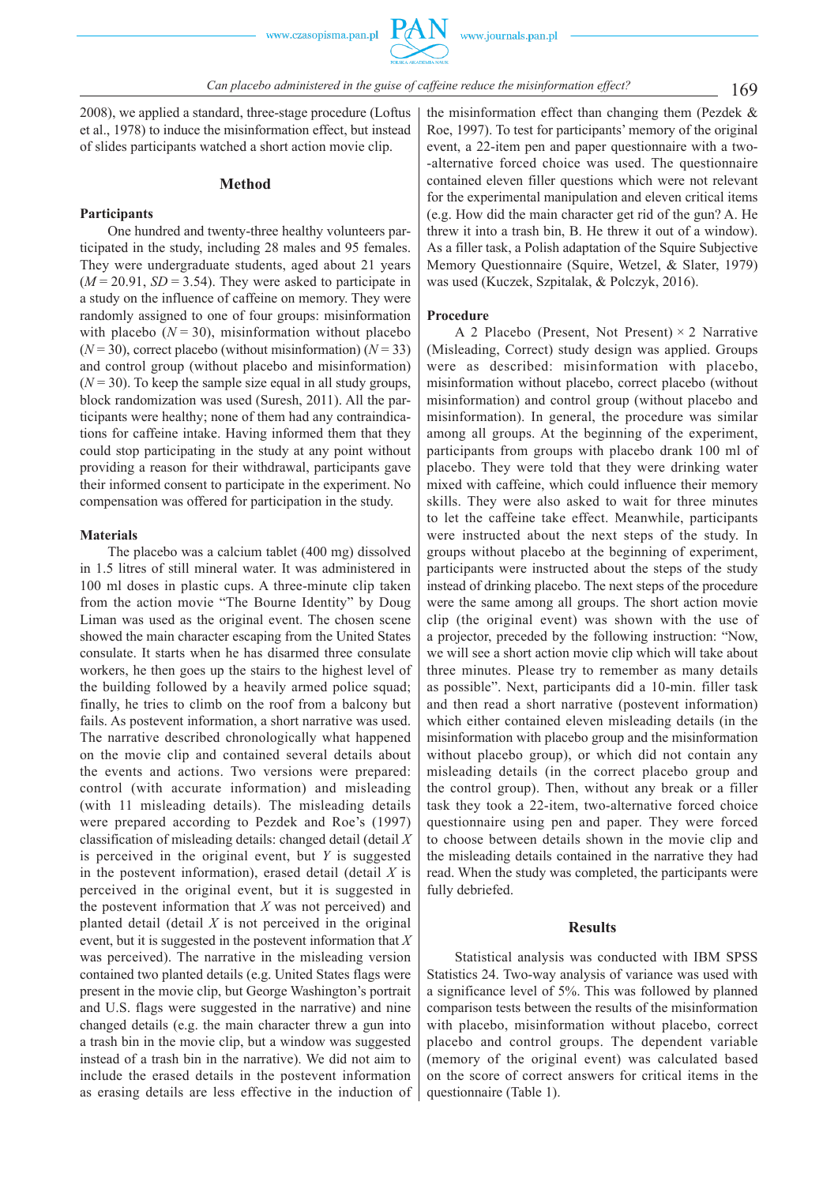

2008), we applied a standard, three -stage procedure (Loftus et al., 1978) to induce the misinformation effect, but instead of slides participants watched a short action movie clip.

#### **Method**

# **Participants**

One hundred and twenty -three healthy volunteers participated in the study, including 28 males and 95 females. They were undergraduate students, aged about 21 years  $(M = 20.91, SD = 3.54)$ . They were asked to participate in a study on the influence of caffeine on memory. They were randomly assigned to one of four groups: misinformation with placebo  $(N = 30)$ , misinformation without placebo  $(N = 30)$ , correct placebo (without misinformation)  $(N = 33)$ and control group (without placebo and misinformation)  $(N = 30)$ . To keep the sample size equal in all study groups, block randomization was used (Suresh, 2011). All the participants were healthy; none of them had any contraindications for caffeine intake. Having informed them that they could stop participating in the study at any point without providing a reason for their withdrawal, participants gave their informed consent to participate in the experiment. No compensation was offered for participation in the study.

#### **Materials**

The placebo was a calcium tablet (400 mg) dissolved in 1.5 litres of still mineral water. It was administered in 100 ml doses in plastic cups. A three -minute clip taken from the action movie "The Bourne Identity" by Doug Liman was used as the original event. The chosen scene showed the main character escaping from the United States consulate. It starts when he has disarmed three consulate workers, he then goes up the stairs to the highest level of the building followed by a heavily armed police squad; finally, he tries to climb on the roof from a balcony but fails. As postevent information, a short narrative was used. The narrative described chronologically what happened on the movie clip and contained several details about the events and actions. Two versions were prepared: control (with accurate information) and misleading (with 11 misleading details). The misleading details were prepared according to Pezdek and Roe's (1997) classification of misleading details: changed detail (detail *X* is perceived in the original event, but *Y* is suggested in the postevent information), erased detail (detail *X* is perceived in the original event, but it is suggested in the postevent information that  $X$  was not perceived) and planted detail (detail *X* is not perceived in the original event, but it is suggested in the postevent information that *X* was perceived). The narrative in the misleading version contained two planted details (e.g. United States flags were present in the movie clip, but George Washington's portrait and U.S. flags were suggested in the narrative) and nine changed details (e.g. the main character threw a gun into a trash bin in the movie clip, but a window was suggested instead of a trash bin in the narrative). We did not aim to include the erased details in the postevent information as erasing details are less effective in the induction of

the misinformation effect than changing them (Pezdek & Roe, 1997). To test for participants' memory of the original event, a 22 -item pen and paper questionnaire with a two- -alternative forced choice was used. The questionnaire contained eleven filler questions which were not relevant for the experimental manipulation and eleven critical items (e.g. How did the main character get rid of the gun? A. He threw it into a trash bin, B. He threw it out of a window). As a filler task, a Polish adaptation of the Squire Subjective Memory Questionnaire (Squire, Wetzel, & Slater, 1979) was used (Kuczek, Szpitalak, & Polczyk, 2016).

### **Procedure**

A 2 Placebo (Present, Not Present)  $\times$  2 Narrative (Misleading, Correct) study design was applied. Groups were as described: misinformation with placebo, misinformation without placebo, correct placebo (without misinformation) and control group (without placebo and misinformation). In general, the procedure was similar among all groups. At the beginning of the experiment, participants from groups with placebo drank 100 ml of placebo. They were told that they were drinking water mixed with caffeine, which could influence their memory skills. They were also asked to wait for three minutes to let the caffeine take effect. Meanwhile, participants were instructed about the next steps of the study. In groups without placebo at the beginning of experiment, participants were instructed about the steps of the study instead of drinking placebo. The next steps of the procedure were the same among all groups. The short action movie clip (the original event) was shown with the use of a projector, preceded by the following instruction: "Now, we will see a short action movie clip which will take about three minutes. Please try to remember as many details as possible". Next, participants did a 10 -min. filler task and then read a short narrative (postevent information) which either contained eleven misleading details (in the misinformation with placebo group and the misinformation without placebo group), or which did not contain any misleading details (in the correct placebo group and the control group). Then, without any break or a filler task they took a 22 -item, two -alternative forced choice questionnaire using pen and paper. They were forced to choose between details shown in the movie clip and the misleading details contained in the narrative they had read. When the study was completed, the participants were fully debriefed.

# **Results**

Statistical analysis was conducted with IBM SPSS Statistics 24. Two -way analysis of variance was used with a significance level of 5%. This was followed by planned comparison tests between the results of the misinformation with placebo, misinformation without placebo, correct placebo and control groups. The dependent variable (memory of the original event) was calculated based on the score of correct answers for critical items in the questionnaire (Table 1).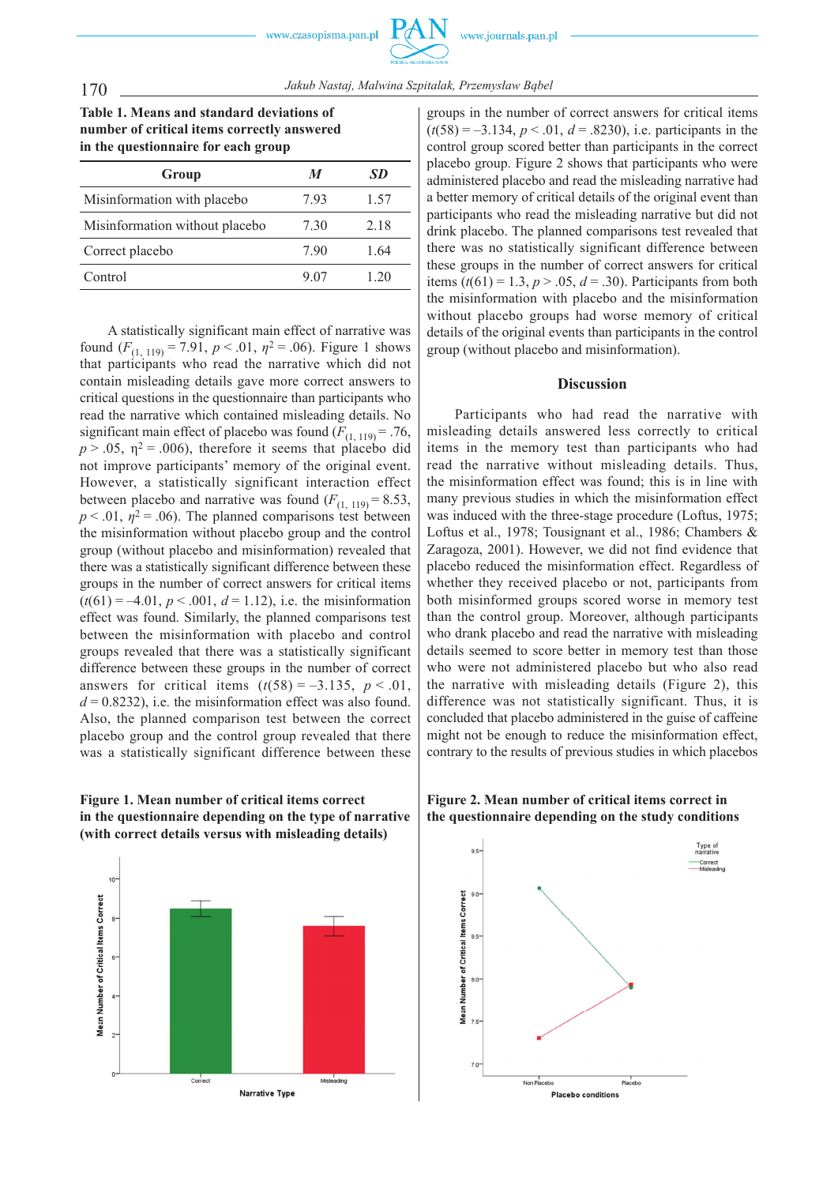**Table 1. Means and standard deviations of number of critical items correctly answered in the questionnaire for each group**

| Group                          | M    | SD   |
|--------------------------------|------|------|
| Misinformation with placebo    | 793  | 1.57 |
| Misinformation without placebo | 730  | 2.18 |
| Correct placebo                | 790  | 1 64 |
| Control                        | 9.07 | 1 20 |

A statistically significant main effect of narrative was found  $(F_{(1, 119)} = 7.91, p < .01, \eta^2 = .06)$ . Figure 1 shows that participants who read the narrative which did not contain misleading details gave more correct answers to critical questions in the questionnaire than participants who read the narrative which contained misleading details. No significant main effect of placebo was found  $(F_{(1, 119)} = .76$ ,  $p > .05$ ,  $\eta^2 = .006$ ), therefore it seems that placebo did not improve participants' memory of the original event. However, a statistically significant interaction effect between placebo and narrative was found  $(F_{(1, 119)} = 8.53)$ ,  $p < .01$ ,  $\eta^2 = .06$ ). The planned comparisons test between the misinformation without placebo group and the control group (without placebo and misinformation) revealed that there was a statistically significant difference between these groups in the number of correct answers for critical items  $(t(61) = -4.01, p < .001, d = 1.12)$ , i.e. the misinformation effect was found. Similarly, the planned comparisons test between the misinformation with placebo and control groups revealed that there was a statistically significant difference between these groups in the number of correct answers for critical items  $(t(58) = -3.135, p < .01,$  $d = 0.8232$ ), i.e. the misinformation effect was also found. Also, the planned comparison test between the correct placebo group and the control group revealed that there was a statistically significant difference between these





groups in the number of correct answers for critical items  $(t(58) = -3.134, p < .01, d = .8230)$ , i.e. participants in the control group scored better than participants in the correct placebo group. Figure 2 shows that participants who were administered placebo and read the misleading narrative had a better memory of critical details of the original event than participants who read the misleading narrative but did not drink placebo. The planned comparisons test revealed that there was no statistically significant difference between these groups in the number of correct answers for critical items  $(t(61) = 1.3, p > 0.05, d = 0.30)$ . Participants from both the misinformation with placebo and the misinformation without placebo groups had worse memory of critical details of the original events than participants in the control group (without placebo and misinformation).

### **Discussion**

Participants who had read the narrative with misleading details answered less correctly to critical items in the memory test than participants who had read the narrative without misleading details. Thus, the misinformation effect was found; this is in line with many previous studies in which the misinformation effect was induced with the three -stage procedure (Loftus, 1975; Loftus et al., 1978; Tousignant et al., 1986; Chambers & Zaragoza, 2001). However, we did not find evidence that placebo reduced the misinformation effect. Regardless of whether they received placebo or not, participants from both misinformed groups scored worse in memory test than the control group. Moreover, although participants who drank placebo and read the narrative with misleading details seemed to score better in memory test than those who were not administered placebo but who also read the narrative with misleading details (Figure 2), this difference was not statistically significant. Thus, it is concluded that placebo administered in the guise of caffeine might not be enough to reduce the misinformation effect, contrary to the results of previous studies in which placebos

**Figure 2. Mean number of critical items correct in the questionnaire depending on the study conditions**

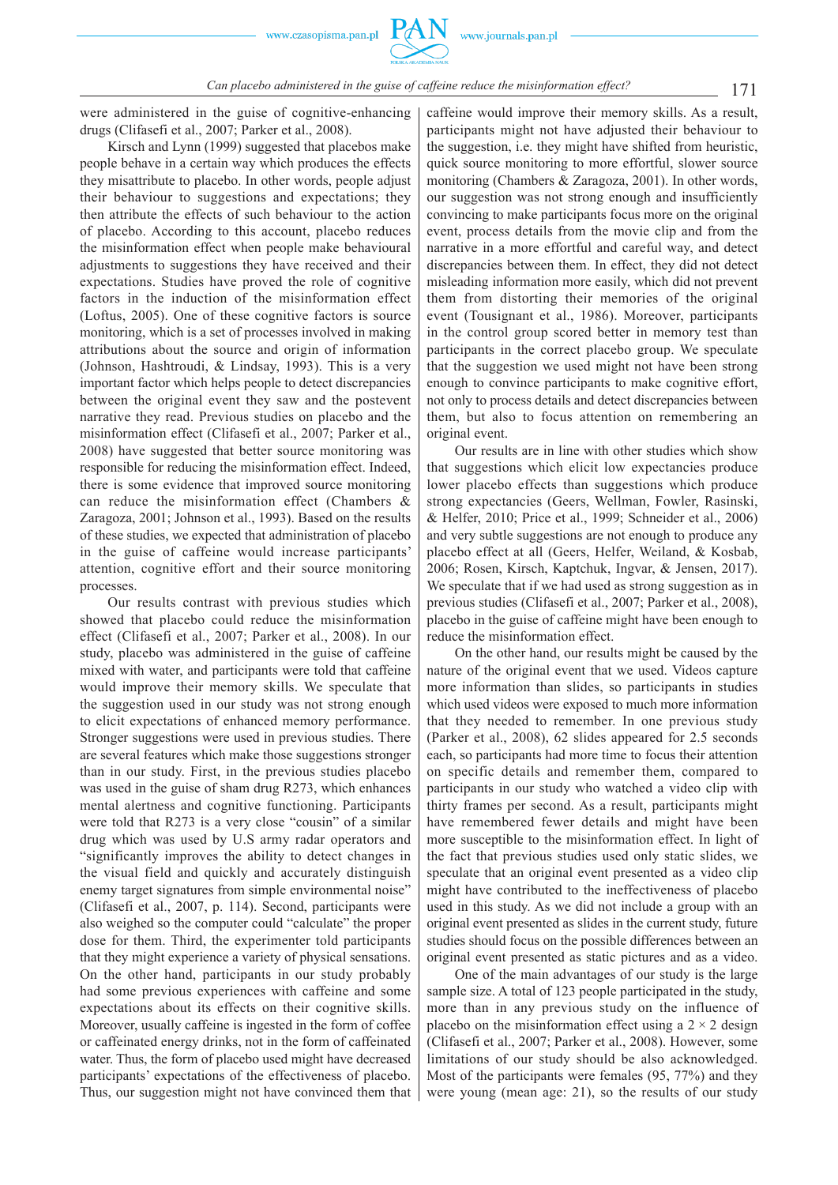

171 *Can placebo administered in the guise of caffeine reduce the misinformation effect?*

were administered in the guise of cognitive -enhancing drugs (Clifasefi et al., 2007; Parker et al., 2008).

Kirsch and Lynn (1999) suggested that placebos make people behave in a certain way which produces the effects they misattribute to placebo. In other words, people adjust their behaviour to suggestions and expectations; they then attribute the effects of such behaviour to the action of placebo. According to this account, placebo reduces the misinformation effect when people make behavioural adjustments to suggestions they have received and their expectations. Studies have proved the role of cognitive factors in the induction of the misinformation effect (Loftus, 2005). One of these cognitive factors is source monitoring, which is a set of processes involved in making attributions about the source and origin of information (Johnson, Hashtroudi, & Lindsay, 1993). This is a very important factor which helps people to detect discrepancies between the original event they saw and the postevent narrative they read. Previous studies on placebo and the misinformation effect (Clifasefi et al., 2007; Parker et al., 2008) have suggested that better source monitoring was responsible for reducing the misinformation effect. Indeed, there is some evidence that improved source monitoring can reduce the misinformation effect (Chambers & Zaragoza, 2001; Johnson et al., 1993). Based on the results of these studies, we expected that administration of placebo in the guise of caffeine would increase participants' attention, cognitive effort and their source monitoring processes.

Our results contrast with previous studies which showed that placebo could reduce the misinformation effect (Clifasefi et al., 2007; Parker et al., 2008). In our study, placebo was administered in the guise of caffeine mixed with water, and participants were told that caffeine would improve their memory skills. We speculate that the suggestion used in our study was not strong enough to elicit expectations of enhanced memory performance. Stronger suggestions were used in previous studies. There are several features which make those suggestions stronger than in our study. First, in the previous studies placebo was used in the guise of sham drug R273, which enhances mental alertness and cognitive functioning. Participants were told that R273 is a very close "cousin" of a similar drug which was used by U.S army radar operators and "significantly improves the ability to detect changes in the visual field and quickly and accurately distinguish enemy target signatures from simple environmental noise" (Clifasefi et al., 2007, p. 114). Second, participants were also weighed so the computer could "calculate" the proper dose for them. Third, the experimenter told participants that they might experience a variety of physical sensations. On the other hand, participants in our study probably had some previous experiences with caffeine and some expectations about its effects on their cognitive skills. Moreover, usually caffeine is ingested in the form of coffee or caffeinated energy drinks, not in the form of caffeinated water. Thus, the form of placebo used might have decreased participants' expectations of the effectiveness of placebo. Thus, our suggestion might not have convinced them that caffeine would improve their memory skills. As a result, participants might not have adjusted their behaviour to the suggestion, i.e. they might have shifted from heuristic, quick source monitoring to more effortful, slower source monitoring (Chambers & Zaragoza, 2001). In other words, our suggestion was not strong enough and insufficiently convincing to make participants focus more on the original event, process details from the movie clip and from the narrative in a more effortful and careful way, and detect discrepancies between them. In effect, they did not detect misleading information more easily, which did not prevent them from distorting their memories of the original event (Tousignant et al., 1986). Moreover, participants in the control group scored better in memory test than participants in the correct placebo group. We speculate that the suggestion we used might not have been strong enough to convince participants to make cognitive effort, not only to process details and detect discrepancies between them, but also to focus attention on remembering an original event.

Our results are in line with other studies which show that suggestions which elicit low expectancies produce lower placebo effects than suggestions which produce strong expectancies (Geers, Wellman, Fowler, Rasinski, & Helfer, 2010; Price et al., 1999; Schneider et al., 2006) and very subtle suggestions are not enough to produce any placebo effect at all (Geers, Helfer, Weiland, & Kosbab, 2006; Rosen, Kirsch, Kaptchuk, Ingvar, & Jensen, 2017). We speculate that if we had used as strong suggestion as in previous studies (Clifasefi et al., 2007; Parker et al., 2008), placebo in the guise of caffeine might have been enough to reduce the misinformation effect.

On the other hand, our results might be caused by the nature of the original event that we used. Videos capture more information than slides, so participants in studies which used videos were exposed to much more information that they needed to remember. In one previous study (Parker et al., 2008), 62 slides appeared for 2.5 seconds each, so participants had more time to focus their attention on specific details and remember them, compared to participants in our study who watched a video clip with thirty frames per second. As a result, participants might have remembered fewer details and might have been more susceptible to the misinformation effect. In light of the fact that previous studies used only static slides, we speculate that an original event presented as a video clip might have contributed to the ineffectiveness of placebo used in this study. As we did not include a group with an original event presented as slides in the current study, future studies should focus on the possible differences between an original event presented as static pictures and as a video.

One of the main advantages of our study is the large sample size. A total of 123 people participated in the study, more than in any previous study on the influence of placebo on the misinformation effect using a  $2 \times 2$  design (Clifasefi et al., 2007; Parker et al., 2008). However, some limitations of our study should be also acknowledged. Most of the participants were females (95, 77%) and they were young (mean age: 21), so the results of our study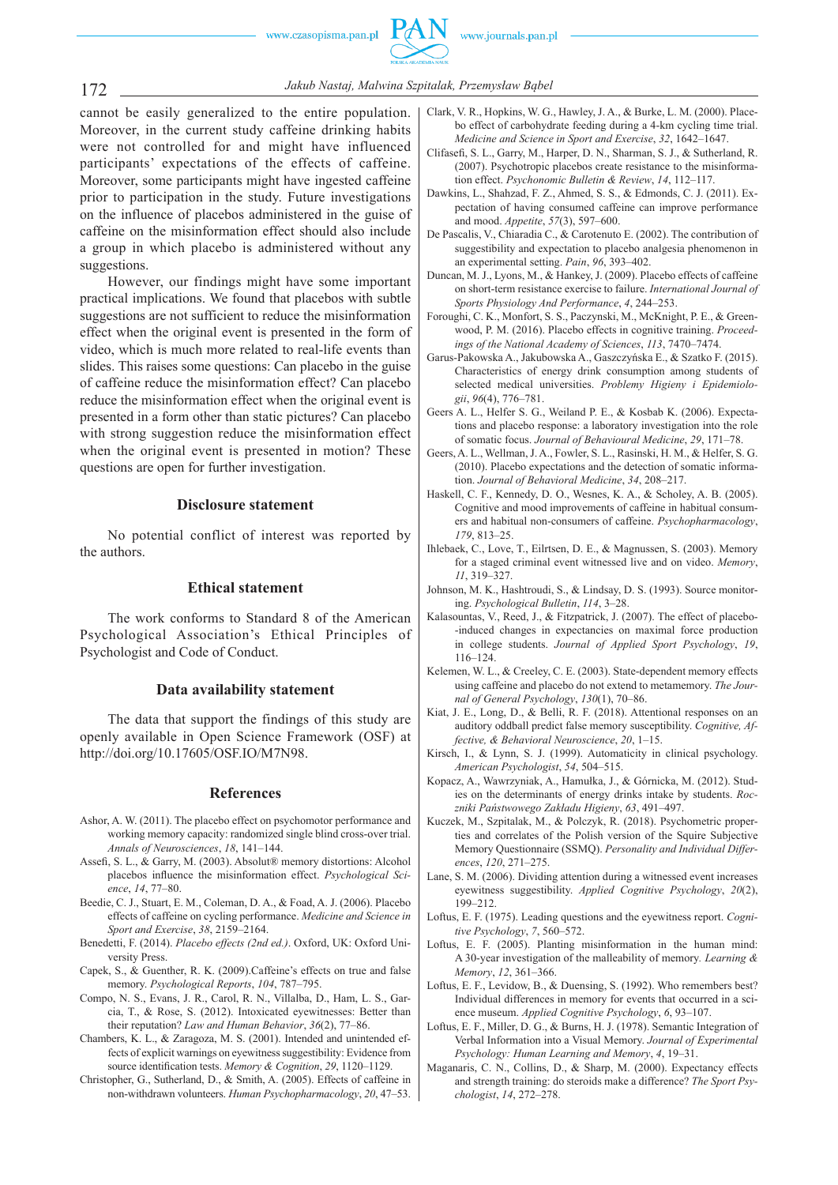

172 *Jakub Nastaj, Malwina Szpitalak, Przemysław Bąbel*

cannot be easily generalized to the entire population. Moreover, in the current study caffeine drinking habits were not controlled for and might have influenced participants' expectations of the effects of caffeine. Moreover, some participants might have ingested caffeine prior to participation in the study. Future investigations on the influence of placebos administered in the guise of caffeine on the misinformation effect should also include a group in which placebo is administered without any suggestions.

However, our findings might have some important practical implications. We found that placebos with subtle suggestions are not sufficient to reduce the misinformation effect when the original event is presented in the form of video, which is much more related to real-life events than slides. This raises some questions: Can placebo in the guise of caffeine reduce the misinformation effect? Can placebo reduce the misinformation effect when the original event is presented in a form other than static pictures? Can placebo with strong suggestion reduce the misinformation effect when the original event is presented in motion? These questions are open for further investigation.

#### **Disclosure statement**

No potential conflict of interest was reported by the authors.

#### **Ethical statement**

The work conforms to Standard 8 of the American Psychological Association's Ethical Principles of Psychologist and Code of Conduct.

# **Data availability statement**

The data that support the findings of this study are openly available in Open Science Framework (OSF) at http://doi.org/10.17605/OSF.IO/M7N98.

#### **References**

- Ashor, A. W. (2011). The placebo effect on psychomotor performance and working memory capacity: randomized single blind cross -over trial. *Annals of Neurosciences*, *18*, 141–144.
- Assefi, S. L., & Garry, M. (2003). Absolut® memory distortions: Alcohol placebos influence the misinformation effect. *Psychological Science*, *14*, 77–80.
- Beedie, C. J., Stuart, E. M., Coleman, D. A., & Foad, A. J. (2006). Placebo effects of caffeine on cycling performance. *Medicine and Science in Sport and Exercise*, *38*, 2159–2164.
- Benedetti, F. (2014). *Placebo effects (2nd ed.)*. Oxford, UK: Oxford University Press.
- Capek, S., & Guenther, R. K. (2009).Caffeine's effects on true and false memory. *Psychological Reports*, *104*, 787–795.
- Compo, N. S., Evans, J. R., Carol, R. N., Villalba, D., Ham, L. S., Garcia, T., & Rose, S. (2012). Intoxicated eyewitnesses: Better than their reputation? *Law and Human Behavior*, *36*(2), 77–86.
- Chambers, K. L., & Zaragoza, M. S. (2001). Intended and unintended effects of explicit warnings on eyewitness suggestibility: Evidence from source identification tests. *Memory & Cognition*, 29, 1120-1129.
- Christopher, G., Sutherland, D., & Smith, A. (2005). Effects of caffeine in non -withdrawn volunteers. *Human Psychopharmacology*, *20*, 47–53.
- Clark, V. R., Hopkins, W. G., Hawley, J. A., & Burke, L. M. (2000). Placebo effect of carbohydrate feeding during a 4 -km cycling time trial. *Medicine and Science in Sport and Exercise*, *32*, 1642–1647.
- Clifasefi, S. L., Garry, M., Harper, D. N., Sharman, S. J., & Sutherland, R. (2007). Psychotropic placebos create resistance to the misinformation effect. *Psychonomic Bulletin & Review*, *14*, 112–117.
- Dawkins, L., Shahzad, F. Z., Ahmed, S. S., & Edmonds, C. J. (2011). Expectation of having consumed caffeine can improve performance and mood. *Appetite*, *57*(3), 597–600.
- De Pascalis, V., Chiaradia C., & Carotenuto E. (2002). The contribution of suggestibility and expectation to placebo analgesia phenomenon in an experimental setting. *Pain*, *96*, 393–402.
- Duncan, M. J., Lyons, M., & Hankey, J. (2009). Placebo effects of caffeine on short -term resistance exercise to failure. *International Journal of Sports Physiology And Performance*, *4*, 244–253.
- Foroughi, C. K., Monfort, S. S., Paczynski, M., McKnight, P. E., & Greenwood, P. M. (2016). Placebo effects in cognitive training. *Proceedings of the National Academy of Sciences*, *113*, 7470–7474.
- Garus -Pakowska A., Jakubowska A., Gaszczyńska E., & Szatko F. (2015). Characteristics of energy drink consumption among students of selected medical universities. *Problemy Higieny i Epidemiologii*, *96*(4), 776–781.
- Geers A. L., Helfer S. G., Weiland P. E., & Kosbab K. (2006). Expectations and placebo response: a laboratory investigation into the role of somatic focus. *Journal of Behavioural Medicine*, *29*, 171–78.
- Geers, A. L., Wellman, J. A., Fowler, S. L., Rasinski, H. M., & Helfer, S. G. (2010). Placebo expectations and the detection of somatic information. *Journal of Behavioral Medicine*, *34*, 208–217.
- Haskell, C. F., Kennedy, D. O., Wesnes, K. A., & Scholey, A. B. (2005). Cognitive and mood improvements of caffeine in habitual consumers and habitual non -consumers of caffeine. *Psychopharmacology*, *179*, 813–25.
- Ihlebaek, C., Love, T., Eilrtsen, D. E., & Magnussen, S. (2003). Memory for a staged criminal event witnessed live and on video. *Memory*, *11*, 319–327.
- Johnson, M. K., Hashtroudi, S., & Lindsay, D. S. (1993). Source monitoring. *Psychological Bulletin*, *114*, 3–28.
- Kalasountas, V., Reed, J., & Fitzpatrick, J. (2007). The effect of placebo- -induced changes in expectancies on maximal force production in college students. *Journal of Applied Sport Psychology*, *19*, 116–124.
- Kelemen, W. L., & Creeley, C. E. (2003). State -dependent memory effects using caffeine and placebo do not extend to metamemory. *The Journal of General Psychology*, *130*(1), 70–86.
- Kiat, J. E., Long, D., & Belli, R. F. (2018). Attentional responses on an auditory oddball predict false memory susceptibility. *Cognitive, Affective, & Behavioral Neuroscience*, *20*, 1–15.
- Kirsch, I., & Lynn, S. J. (1999). Automaticity in clinical psychology. *American Psychologist*, *54*, 504–515.
- Kopacz, A., Wawrzyniak, A., Hamułka, J., & Górnicka, M. (2012). Studies on the determinants of energy drinks intake by students. *Roczniki Państwowego Zakładu Higieny*, *63*, 491–497.
- Kuczek, M., Szpitalak, M., & Polczyk, R. (2018). Psychometric properties and correlates of the Polish version of the Squire Subjective Memory Questionnaire (SSMQ). *Personality and Individual Differences*, *120*, 271–275.
- Lane, S. M. (2006). Dividing attention during a witnessed event increases eyewitness suggestibility. *Applied Cognitive Psychology*, *20*(2), 199–212.
- Loftus, E. F. (1975). Leading questions and the eyewitness report. *Cognitive Psychology*, *7*, 560–572.
- Loftus, E. F. (2005). Planting misinformation in the human mind: A 30 -year investigation of the malleability of memory*. Learning & Memory*, *12*, 361–366.
- Loftus, E. F., Levidow, B., & Duensing, S. (1992). Who remembers best? Individual differences in memory for events that occurred in a science museum. *Applied Cognitive Psychology*, *6*, 93–107.
- Loftus, E. F., Miller, D. G., & Burns, H. J. (1978). Semantic Integration of Verbal Information into a Visual Memory. *Journal of Experimental Psychology: Human Learning and Memory*, *4*, 19–31.
- Maganaris, C. N., Collins, D., & Sharp, M. (2000). Expectancy effects and strength training: do steroids make a difference? *The Sport Psychologist*, *14*, 272–278.